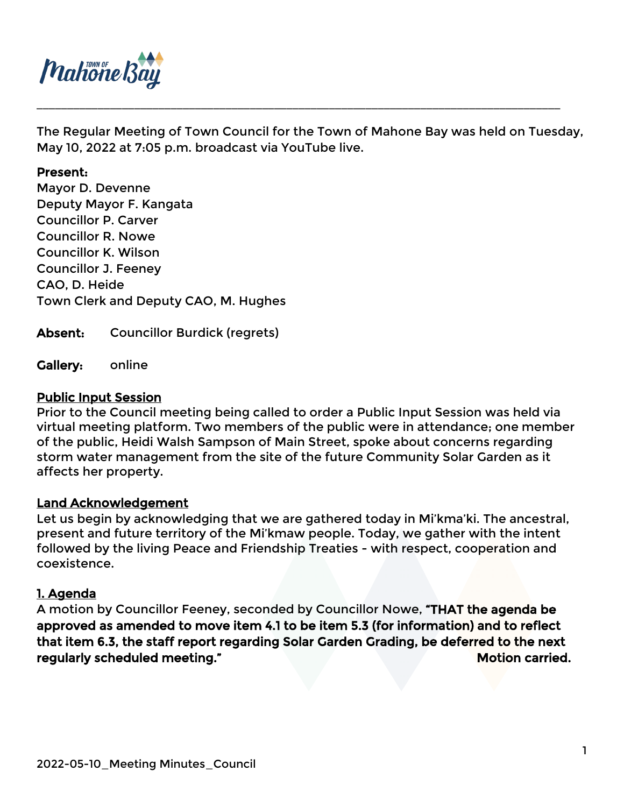

The Regular Meeting of Town Council for the Town of Mahone Bay was held on Tuesday, May 10, 2022 at 7:05 p.m. broadcast via YouTube live.

\_\_\_\_\_\_\_\_\_\_\_\_\_\_\_\_\_\_\_\_\_\_\_\_\_\_\_\_\_\_\_\_\_\_\_\_\_\_\_\_\_\_\_\_\_\_\_\_\_\_\_\_\_\_\_\_\_\_\_\_\_\_\_\_\_\_\_\_\_\_\_\_\_\_\_\_\_\_\_\_\_\_\_\_\_\_

#### Present:

Mayor D. Devenne Deputy Mayor F. Kangata Councillor P. Carver Councillor R. Nowe Councillor K. Wilson Councillor J. Feeney CAO, D. Heide Town Clerk and Deputy CAO, M. Hughes

Absent: Councillor Burdick (regrets)

Gallery: online

#### Public Input Session

Prior to the Council meeting being called to order a Public Input Session was held via virtual meeting platform. Two members of the public were in attendance; one member of the public, Heidi Walsh Sampson of Main Street, spoke about concerns regarding storm water management from the site of the future Community Solar Garden as it affects her property.

#### Land Acknowledgement

Let us begin by acknowledging that we are gathered today in Mi'kma'ki. The ancestral, present and future territory of the Mi'kmaw people. Today, we gather with the intent followed by the living Peace and Friendship Treaties - with respect, cooperation and coexistence.

## 1. Agenda

A motion by Councillor Feeney, seconded by Councillor Nowe, "THAT the agenda be approved as amended to move item 4.1 to be item 5.3 (for information) and to reflect that item 6.3, the staff report regarding Solar Garden Grading, be deferred to the next regularly scheduled meeting." The same of the state of the Motion carried.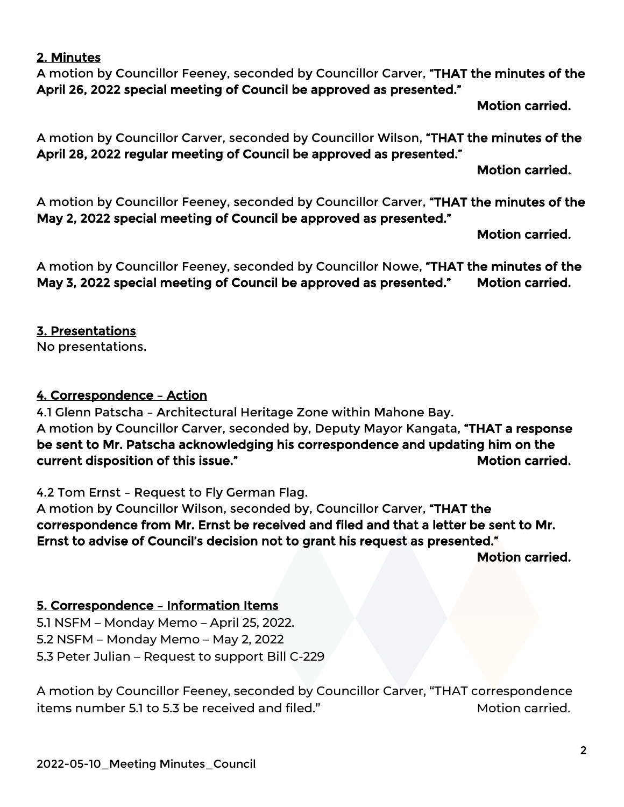## 2022-05-10\_Meeting Minutes\_Council

#### 2. Minutes

A motion by Councillor Feeney, seconded by Councillor Carver, "THAT the minutes of the April 26, 2022 special meeting of Council be approved as presented."

Motion carried.

A motion by Councillor Carver, seconded by Councillor Wilson, "THAT the minutes of the April 28, 2022 regular meeting of Council be approved as presented."

Motion carried.

A motion by Councillor Feeney, seconded by Councillor Carver, "THAT the minutes of the May 2, 2022 special meeting of Council be approved as presented."

Motion carried.

A motion by Councillor Feeney, seconded by Councillor Nowe, "THAT the minutes of the May 3, 2022 special meeting of Council be approved as presented." Motion carried.

# 3. Presentations

No presentations.

## 4. Correspondence – Action

4.1 Glenn Patscha – Architectural Heritage Zone within Mahone Bay. A motion by Councillor Carver, seconded by, Deputy Mayor Kangata, "THAT a response be sent to Mr. Patscha acknowledging his correspondence and updating him on the current disposition of this issue." The matrix of the state of the matrix of the matrix of the matrix of the m

4.2 Tom Ernst – Request to Fly German Flag.

A motion by Councillor Wilson, seconded by, Councillor Carver, "THAT the correspondence from Mr. Ernst be received and filed and that a letter be sent to Mr. Ernst to advise of Council's decision not to grant his request as presented."

Motion carried.

# 5. Correspondence – Information Items

5.1 NSFM – Monday Memo – April 25, 2022. 5.2 NSFM – Monday Memo – May 2, 2022 5.3 Peter Julian – Request to support Bill C-229

A motion by Councillor Feeney, seconded by Councillor Carver, "THAT correspondence items number 5.1 to 5.3 be received and filed." Motion carried.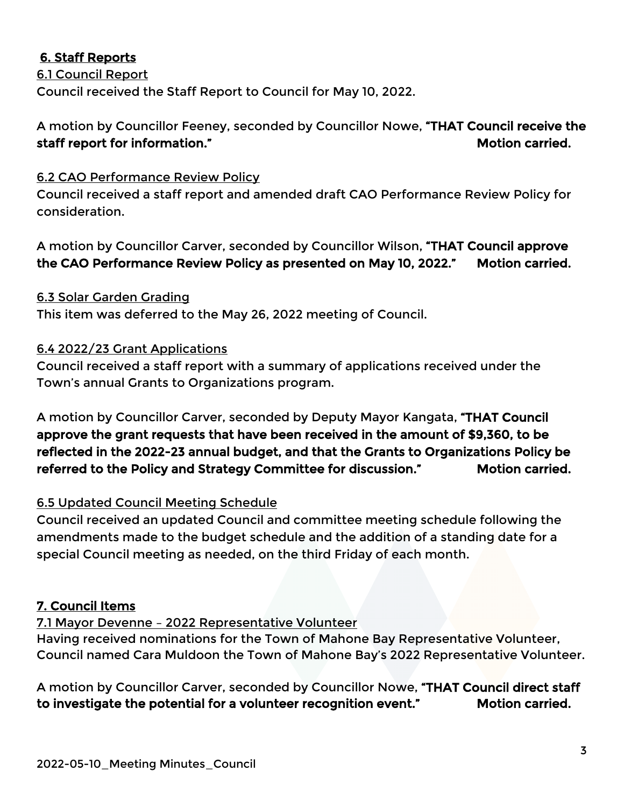# 6. Staff Reports

6.1 Council Report Council received the Staff Report to Council for May 10, 2022.

A motion by Councillor Feeney, seconded by Councillor Nowe, "THAT Council receive the staff report for information." The state of the staff report for information." The staff report of the state o

## 6.2 CAO Performance Review Policy

Council received a staff report and amended draft CAO Performance Review Policy for consideration.

A motion by Councillor Carver, seconded by Councillor Wilson, "THAT Council approve the CAO Performance Review Policy as presented on May 10, 2022." Motion carried.

## 6.3 Solar Garden Grading

This item was deferred to the May 26, 2022 meeting of Council.

## 6.4 2022/23 Grant Applications

Council received a staff report with a summary of applications received under the Town's annual Grants to Organizations program.

A motion by Councillor Carver, seconded by Deputy Mayor Kangata, "THAT Council approve the grant requests that have been received in the amount of \$9,360, to be reflected in the 2022-23 annual budget, and that the Grants to Organizations Policy be referred to the Policy and Strategy Committee for discussion." Motion carried.

## 6.5 Updated Council Meeting Schedule

Council received an updated Council and committee meeting schedule following the amendments made to the budget schedule and the addition of a standing date for a special Council meeting as needed, on the third Friday of each month.

## 7. Council Items

7.1 Mayor Devenne – 2022 Representative Volunteer

Having received nominations for the Town of Mahone Bay Representative Volunteer, Council named Cara Muldoon the Town of Mahone Bay's 2022 Representative Volunteer.

A motion by Councillor Carver, seconded by Councillor Nowe, "THAT Council direct staff to investigate the potential for a volunteer recognition event." Motion carried.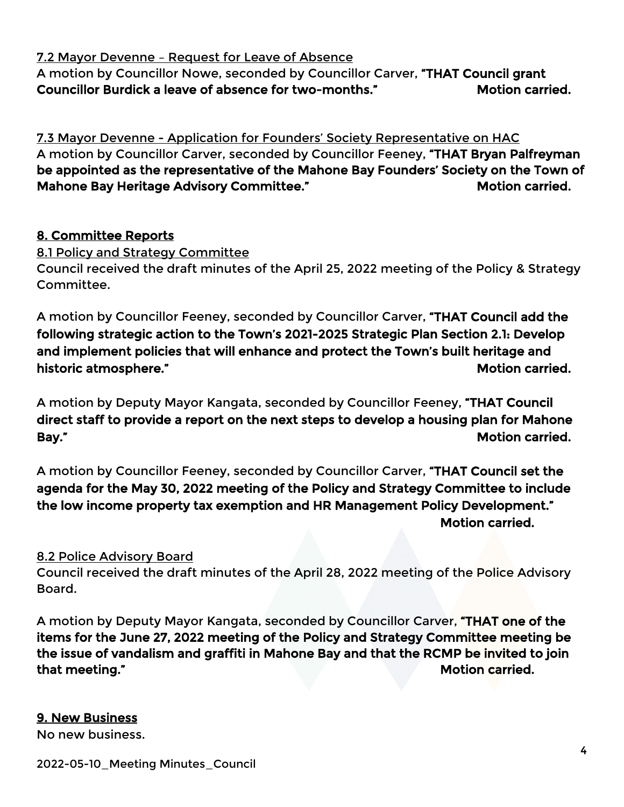7.2 Mayor Devenne – Request for Leave of Absence

A motion by Councillor Nowe, seconded by Councillor Carver, "THAT Council grant Councillor Burdick a leave of absence for two-months." Motion carried.

7.3 Mayor Devenne - Application for Founders' Society Representative on HAC A motion by Councillor Carver, seconded by Councillor Feeney, "THAT Bryan Palfreyman be appointed as the representative of the Mahone Bay Founders' Society on the Town of Mahone Bay Heritage Advisory Committee." Motion carried.

# 8. Committee Reports

8.1 Policy and Strategy Committee Council received the draft minutes of the April 25, 2022 meeting of the Policy & Strategy Committee.

A motion by Councillor Feeney, seconded by Councillor Carver, "THAT Council add the following strategic action to the Town's 2021-2025 Strategic Plan Section 2.1: Develop and implement policies that will enhance and protect the Town's built heritage and historic atmosphere." The contraction of the contraction of the contraction of the contraction of the contraction of the contraction of the contraction of the contraction of the contraction of the contraction of the contra

A motion by Deputy Mayor Kangata, seconded by Councillor Feeney, "THAT Council direct staff to provide a report on the next steps to develop a housing plan for Mahone Bay." **Motion carried.** 

A motion by Councillor Feeney, seconded by Councillor Carver, "THAT Council set the agenda for the May 30, 2022 meeting of the Policy and Strategy Committee to include the low income property tax exemption and HR Management Policy Development." Motion carried.

8.2 Police Advisory Board

Council received the draft minutes of the April 28, 2022 meeting of the Police Advisory Board.

A motion by Deputy Mayor Kangata, seconded by Councillor Carver, "THAT one of the items for the June 27, 2022 meeting of the Policy and Strategy Committee meeting be the issue of vandalism and graffiti in Mahone Bay and that the RCMP be invited to join that meeting." The contraction of the contraction of the contraction of the contraction of the contraction of the contraction of the contraction of the contraction of the contraction of the contraction of the contraction o

# 9. New Business

No new business.